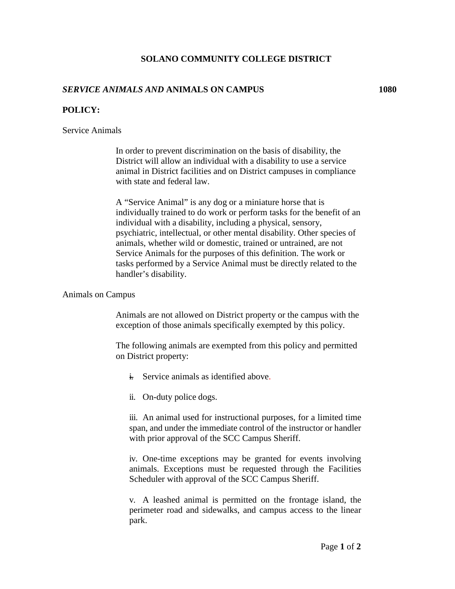# **SOLANO COMMUNITY COLLEGE DISTRICT**

# *SERVICE ANIMALS AND* **ANIMALS ON CAMPUS 1080**

### **POLICY:**

### Service Animals

In order to prevent discrimination on the basis of disability, the District will allow an individual with a disability to use a service animal in District facilities and on District campuses in compliance with state and federal law.

A "Service Animal" is any dog or a miniature horse that is individually trained to do work or perform tasks for the benefit of an individual with a disability, including a physical, sensory, psychiatric, intellectual, or other mental disability. Other species of animals, whether wild or domestic, trained or untrained, are not Service Animals for the purposes of this definition. The work or tasks performed by a Service Animal must be directly related to the handler's disability.

### Animals on Campus

Animals are not allowed on District property or the campus with the exception of those animals specifically exempted by this policy.

The following animals are exempted from this policy and permitted on District property:

- $\frac{1}{k}$  Service animals as identified above.
- ii. On-duty police dogs.

iii. An animal used for instructional purposes, for a limited time span, and under the immediate control of the instructor or handler with prior approval of the SCC Campus Sheriff.

iv. One-time exceptions may be granted for events involving animals. Exceptions must be requested through the Facilities Scheduler with approval of the SCC Campus Sheriff.

v. A leashed animal is permitted on the frontage island, the perimeter road and sidewalks, and campus access to the linear park.